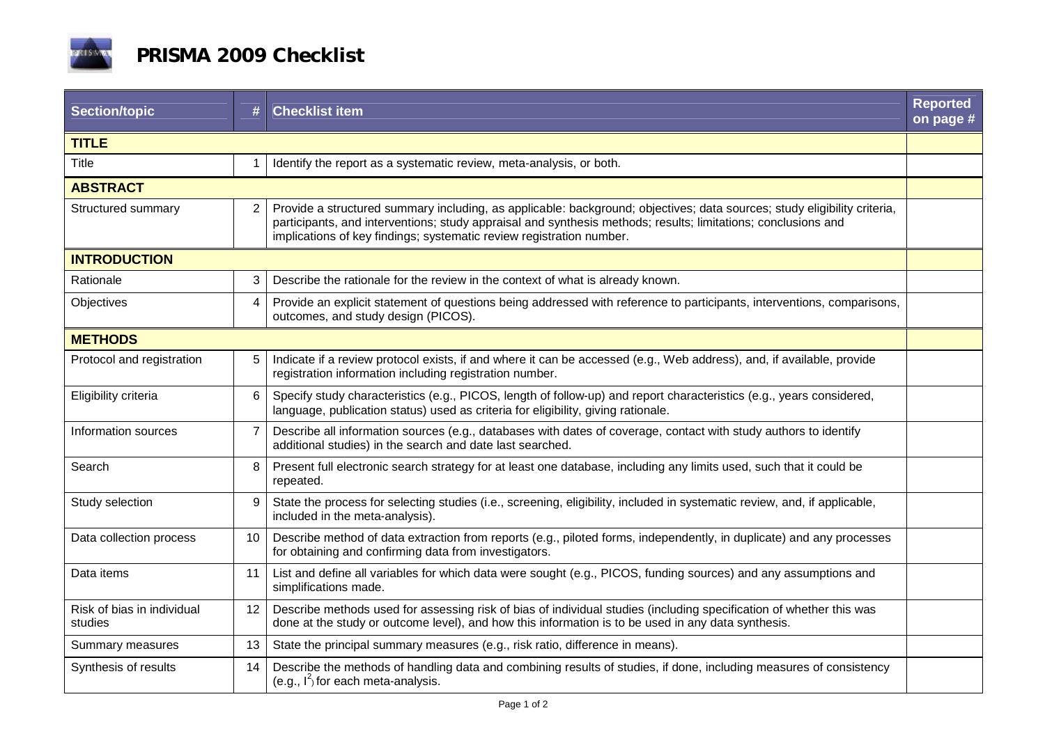

| Section/topic                         | #              | <b>Checklist item</b>                                                                                                                                                                                                                                                                                             | <b>Reported</b><br>on page # |  |
|---------------------------------------|----------------|-------------------------------------------------------------------------------------------------------------------------------------------------------------------------------------------------------------------------------------------------------------------------------------------------------------------|------------------------------|--|
| <b>TITLE</b>                          |                |                                                                                                                                                                                                                                                                                                                   |                              |  |
| Title                                 |                | Identify the report as a systematic review, meta-analysis, or both.                                                                                                                                                                                                                                               |                              |  |
| <b>ABSTRACT</b>                       |                |                                                                                                                                                                                                                                                                                                                   |                              |  |
| Structured summary                    | 2              | Provide a structured summary including, as applicable: background; objectives; data sources; study eligibility criteria,<br>participants, and interventions; study appraisal and synthesis methods; results; limitations; conclusions and<br>implications of key findings; systematic review registration number. |                              |  |
| <b>INTRODUCTION</b>                   |                |                                                                                                                                                                                                                                                                                                                   |                              |  |
| Rationale                             | 3              | Describe the rationale for the review in the context of what is already known.                                                                                                                                                                                                                                    |                              |  |
| Objectives                            | $\overline{4}$ | Provide an explicit statement of questions being addressed with reference to participants, interventions, comparisons,<br>outcomes, and study design (PICOS).                                                                                                                                                     |                              |  |
| <b>METHODS</b>                        |                |                                                                                                                                                                                                                                                                                                                   |                              |  |
| Protocol and registration             | 5              | Indicate if a review protocol exists, if and where it can be accessed (e.g., Web address), and, if available, provide<br>registration information including registration number.                                                                                                                                  |                              |  |
| Eligibility criteria                  | 6              | Specify study characteristics (e.g., PICOS, length of follow-up) and report characteristics (e.g., years considered,<br>language, publication status) used as criteria for eligibility, giving rationale.                                                                                                         |                              |  |
| Information sources                   | 7              | Describe all information sources (e.g., databases with dates of coverage, contact with study authors to identify<br>additional studies) in the search and date last searched.                                                                                                                                     |                              |  |
| Search                                | 8              | Present full electronic search strategy for at least one database, including any limits used, such that it could be<br>repeated.                                                                                                                                                                                  |                              |  |
| Study selection                       | 9              | State the process for selecting studies (i.e., screening, eligibility, included in systematic review, and, if applicable,<br>included in the meta-analysis).                                                                                                                                                      |                              |  |
| Data collection process               | 10             | Describe method of data extraction from reports (e.g., piloted forms, independently, in duplicate) and any processes<br>for obtaining and confirming data from investigators.                                                                                                                                     |                              |  |
| Data items                            | 11             | List and define all variables for which data were sought (e.g., PICOS, funding sources) and any assumptions and<br>simplifications made.                                                                                                                                                                          |                              |  |
| Risk of bias in individual<br>studies | 12             | Describe methods used for assessing risk of bias of individual studies (including specification of whether this was<br>done at the study or outcome level), and how this information is to be used in any data synthesis.                                                                                         |                              |  |
| Summary measures                      | 13             | State the principal summary measures (e.g., risk ratio, difference in means).                                                                                                                                                                                                                                     |                              |  |
| Synthesis of results                  | 14             | Describe the methods of handling data and combining results of studies, if done, including measures of consistency<br>(e.g., $I^2$ ) for each meta-analysis.                                                                                                                                                      |                              |  |